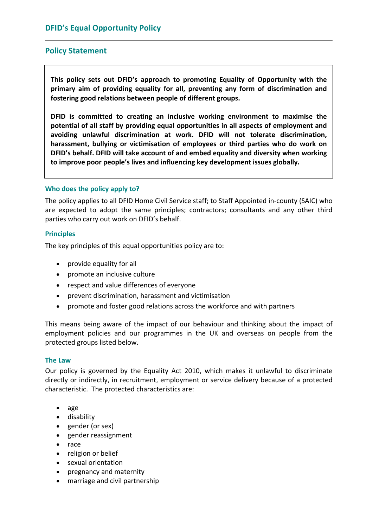# **Policy Statement**

**This policy sets out DFID's approach to promoting Equality of Opportunity with the primary aim of providing equality for all, preventing any form of discrimination and fostering good relations between people of different groups.**

**DFID is committed to creating an inclusive working environment to maximise the potential of all staff by providing equal opportunities in all aspects of employment and avoiding unlawful discrimination at work. DFID will not tolerate discrimination, harassment, bullying or victimisation of employees or third parties who do work on DFID's behalf. DFID will take account of and embed equality and diversity when working to improve poor people's lives and influencing key development issues globally.**

### **Who does the policy apply to?**

The policy applies to all DFID Home Civil Service staff; to Staff Appointed in‐county (SAIC) who are expected to adopt the same principles; contractors; consultants and any other third parties who carry out work on DFID's behalf.

### **Principles**

The key principles of this equal opportunities policy are to:

- provide equality for all
- promote an inclusive culture
- respect and value differences of everyone
- prevent discrimination, harassment and victimisation
- promote and foster good relations across the workforce and with partners

This means being aware of the impact of our behaviour and thinking about the impact of employment policies and our programmes in the UK and overseas on people from the protected groups listed below.

### **The Law**

Our policy is governed by the Equality Act 2010, which makes it unlawful to discriminate directly or indirectly, in recruitment, employment or service delivery because of a protected characteristic. The protected characteristics are:

- age
- **•** disability
- gender (or sex)
- gender reassignment
- race
- religion or belief
- sexual orientation
- pregnancy and maternity
- marriage and civil partnership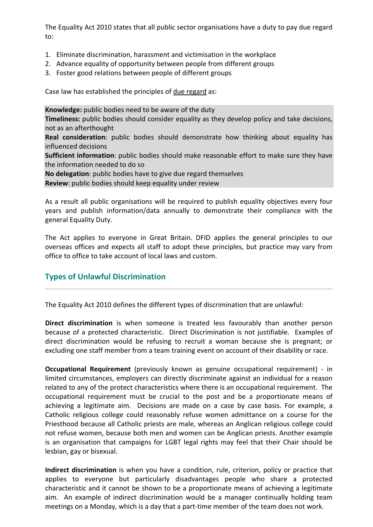The Equality Act 2010 states that all public sector organisations have a duty to pay due regard to:

- 1. Eliminate discrimination, harassment and victimisation in the workplace
- 2. Advance equality of opportunity between people from different groups
- 3. Foster good relations between people of different groups

Case law has established the principles of due regard as:

**Knowledge:** public bodies need to be aware of the duty

**Timeliness:** public bodies should consider equality as they develop policy and take decisions, not as an afterthought

**Real consideration**: public bodies should demonstrate how thinking about equality has influenced decisions

**Sufficient information**: public bodies should make reasonable effort to make sure they have the information needed to do so

**No delegation**: public bodies have to give due regard themselves

**Review**: public bodies should keep equality under review

As a result all public organisations will be required to publish equality objectives every four years and publish information/data annually to demonstrate their compliance with the general Equality Duty.

The Act applies to everyone in Great Britain. DFID applies the general principles to our overseas offices and expects all staff to adopt these principles, but practice may vary from office to office to take account of local laws and custom.

# **Types of Unlawful Discrimination**

The Equality Act 2010 defines the different types of discrimination that are unlawful:

**Direct discrimination** is when someone is treated less favourably than another person because of a protected characteristic. Direct Discrimination is not justifiable. Examples of direct discrimination would be refusing to recruit a woman because she is pregnant; or excluding one staff member from a team training event on account of their disability or race.

**Occupational Requirement** (previously known as genuine occupational requirement) ‐ in limited circumstances, employers can directly discriminate against an individual for a reason related to any of the protect characteristics where there is an occupational requirement. The occupational requirement must be crucial to the post and be a proportionate means of achieving a legitimate aim. Decisions are made on a case by case basis. For example, a Catholic religious college could reasonably refuse women admittance on a course for the Priesthood because all Catholic priests are male, whereas an Anglican religious college could not refuse women, because both men and women can be Anglican priests. Another example is an organisation that campaigns for LGBT legal rights may feel that their Chair should be lesbian, gay or bisexual.

**Indirect discrimination** is when you have a condition, rule, criterion, policy or practice that applies to everyone but particularly disadvantages people who share a protected characteristic and it cannot be shown to be a proportionate means of achieving a legitimate aim. An example of indirect discrimination would be a manager continually holding team meetings on a Monday, which is a day that a part-time member of the team does not work.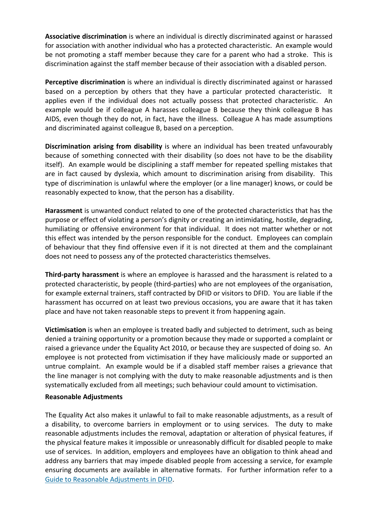**Associative discrimination** is where an individual is directly discriminated against or harassed for association with another individual who has a protected characteristic. An example would be not promoting a staff member because they care for a parent who had a stroke. This is discrimination against the staff member because of their association with a disabled person.

**Perceptive discrimination** is where an individual is directly discriminated against or harassed based on a perception by others that they have a particular protected characteristic. It applies even if the individual does not actually possess that protected characteristic. An example would be if colleague A harasses colleague B because they think colleague B has AIDS, even though they do not, in fact, have the illness. Colleague A has made assumptions and discriminated against colleague B, based on a perception.

**Discrimination arising from disability** is where an individual has been treated unfavourably because of something connected with their disability (so does not have to be the disability itself). An example would be disciplining a staff member for repeated spelling mistakes that are in fact caused by dyslexia, which amount to discrimination arising from disability. This type of discrimination is unlawful where the employer (or a line manager) knows, or could be reasonably expected to know, that the person has a disability.

**Harassment** is unwanted conduct related to one of the protected characteristics that has the purpose or effect of violating a person's dignity or creating an intimidating, hostile, degrading, humiliating or offensive environment for that individual. It does not matter whether or not this effect was intended by the person responsible for the conduct. Employees can complain of behaviour that they find offensive even if it is not directed at them and the complainant does not need to possess any of the protected characteristics themselves.

**Third‐party harassment** is where an employee is harassed and the harassment is related to a protected characteristic, by people (third‐parties) who are not employees of the organisation, for example external trainers, staff contracted by DFID or visitors to DFID. You are liable if the harassment has occurred on at least two previous occasions, you are aware that it has taken place and have not taken reasonable steps to prevent it from happening again.

**Victimisation** is when an employee is treated badly and subjected to detriment, such as being denied a training opportunity or a promotion because they made or supported a complaint or raised a grievance under the Equality Act 2010, or because they are suspected of doing so. An employee is not protected from victimisation if they have maliciously made or supported an untrue complaint. An example would be if a disabled staff member raises a grievance that the line manager is not complying with the duty to make reasonable adjustments and is then systematically excluded from all meetings; such behaviour could amount to victimisation.

#### **Reasonable Adjustments**

The Equality Act also makes it unlawful to fail to make reasonable adjustments, as a result of a disability, to overcome barriers in employment or to using services. The duty to make reasonable adjustments includes the removal, adaptation or alteration of physical features, if the physical feature makes it impossible or unreasonably difficult for disabled people to make use of services. In addition, employers and employees have an obligation to think ahead and address any barriers that may impede disabled people from accessing a service, for example ensuring documents are available in alternative formats. For further information refer to a Guide to Reasonable Adjustments in DFID.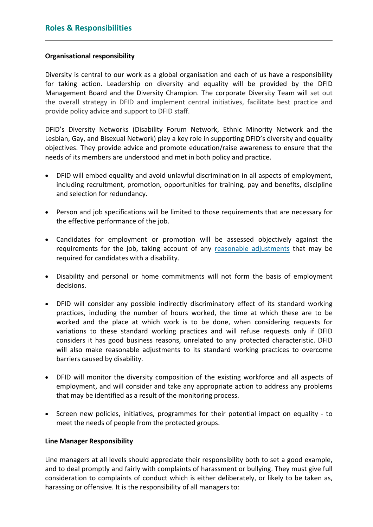## **Organisational responsibility**

Diversity is central to our work as a global organisation and each of us have a responsibility for taking action. Leadership on diversity and equality will be provided by the DFID Management Board and the Diversity Champion. The corporate Diversity Team will set out the overall strategy in DFID and implement central initiatives, facilitate best practice and provide policy advice and support to DFID staff.

DFID's Diversity Networks (Disability Forum Network, Ethnic Minority Network and the Lesbian, Gay, and Bisexual Network) play a key role in supporting DFID's diversity and equality objectives. They provide advice and promote education/raise awareness to ensure that the needs of its members are understood and met in both policy and practice.

- DFID will embed equality and avoid unlawful discrimination in all aspects of employment, including recruitment, promotion, opportunities for training, pay and benefits, discipline and selection for redundancy.
- Person and job specifications will be limited to those requirements that are necessary for the effective performance of the job.
- Candidates for employment or promotion will be assessed objectively against the requirements for the job, taking account of any reasonable [adjustments](http://dfidinsight/PeopleSight/Diversity/Disability/Reasonableadjustments/index.htm) that may be required for candidates with a disability.
- Disability and personal or home commitments will not form the basis of employment decisions.
- DFID will consider any possible indirectly discriminatory effect of its standard working practices, including the number of hours worked, the time at which these are to be worked and the place at which work is to be done, when considering requests for variations to these standard working practices and will refuse requests only if DFID considers it has good business reasons, unrelated to any protected characteristic. DFID will also make reasonable adjustments to its standard working practices to overcome barriers caused by disability.
- DFID will monitor the diversity composition of the existing workforce and all aspects of employment, and will consider and take any appropriate action to address any problems that may be identified as a result of the monitoring process.
- Screen new policies, initiatives, programmes for their potential impact on equality to meet the needs of people from the protected groups.

### **Line Manager Responsibility**

Line managers at all levels should appreciate their responsibility both to set a good example, and to deal promptly and fairly with complaints of harassment or bullying. They must give full consideration to complaints of conduct which is either deliberately, or likely to be taken as, harassing or offensive. It is the responsibility of all managers to: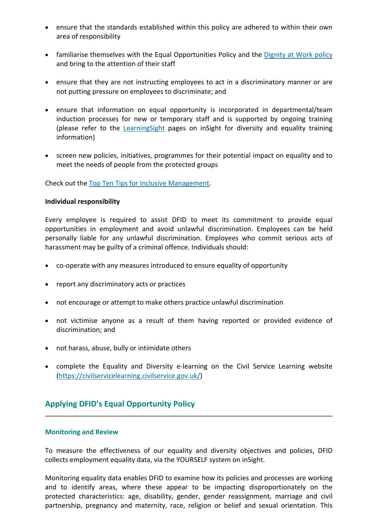- ensure that the standards established within this policy are adhered to within their own area of responsibility
- familiarise themselves with the Equal Opportunities Policy and the [Dignity](http://dfidinsight/PeopleSight/ConductatWork/Dignityatwork/index.htm) at Work policy and bring to the attention of their staff
- ensure that they are not instructing employees to act in a discriminatory manner or are not putting pressure on employees to discriminate; and
- ensure that information on equal opportunity is incorporated in departmental/team induction processes for new or temporary staff and is supported by ongoing training (please refer to the [LearningSight](http://dfidinsight/LearningSight/DiversityEffectiveness/index.htm) pages on inSight for diversity and equality training information)
- screen new policies, initiatives, programmes for their potential impact on equality and to meet the needs of people from the protected groups

Check out the Top Ten Tips for Inclusive [Management](http://dfidinsight/PeopleSight/PUB_001354).

#### **Individual responsibility**

Every employee is required to assist DFID to meet its commitment to provide equal opportunities in employment and avoid unlawful discrimination. Employees can be held personally liable for any unlawful discrimination. Employees who commit serious acts of harassment may be guilty of a criminal offence. Individuals should:

- co-operate with any measures introduced to ensure equality of opportunity
- report any discriminatory acts or practices
- not encourage or attempt to make others practice unlawful discrimination
- not victimise anyone as a result of them having reported or provided evidence of discrimination; and
- not harass, abuse, bully or intimidate others
- complete the Equality and Diversity e-learning on the Civil Service Learning website ([https://civilservicelearning.civilservice.gov.uk/\)](https://civilservicelearning.civilservice.gov.uk/)

## **Applying DFID's Equal Opportunity Policy**

#### **Monitoring and Review**

To measure the effectiveness of our equality and diversity objectives and policies, DFID collects employment equality data, via the YOURSELF system on inSight.

Monitoring equality data enables DFID to examine how its policies and processes are working and to identify areas, where these appear to be impacting disproportionately on the protected characteristics: age, disability, gender, gender reassignment, marriage and civil partnership, pregnancy and maternity, race, religion or belief and sexual orientation. This